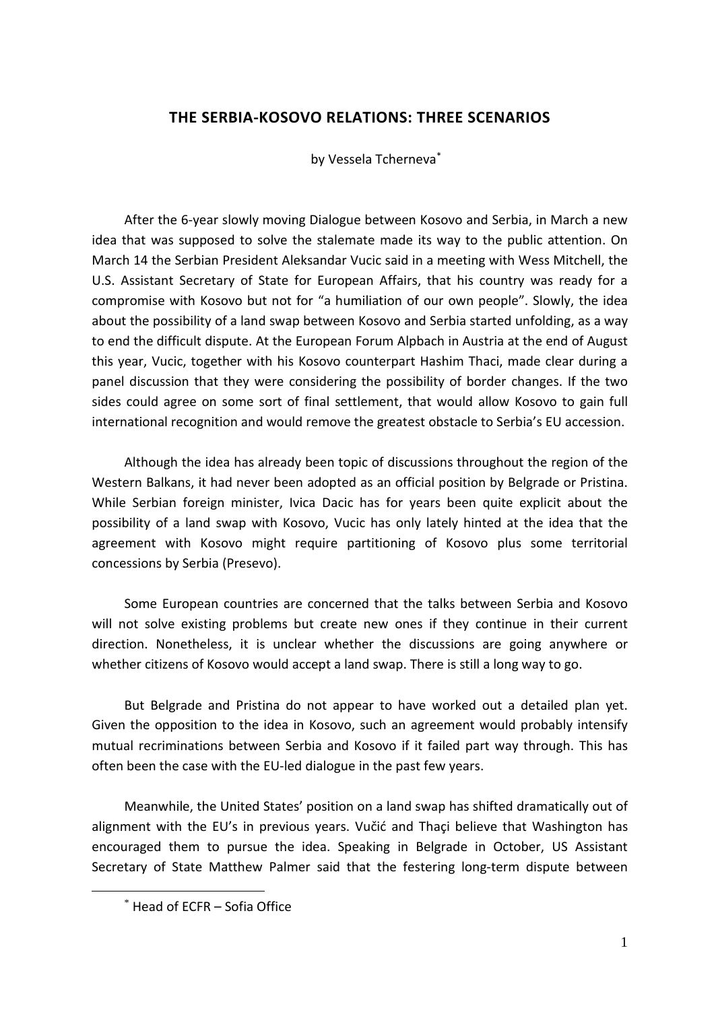# **THE SERBIA-KOSOVO RELATIONS: THREE SCENARIOS**

by Vessela Tcherneva\*

After the 6-year slowly moving Dialogue between Kosovo and Serbia, in March a new idea that was supposed to solve the stalemate made its way to the public attention. On March 14 the Serbian President Aleksandar Vucic said in a meeting with Wess Mitchell, the U.S. Assistant Secretary of State for European Affairs, that his country was ready for a compromise with Kosovo but not for "a humiliation of our own people". Slowly, the idea about the possibility of a land swap between Kosovo and Serbia started unfolding, as a way to end the difficult dispute. At the European Forum Alpbach in Austria at the end of August this year, Vucic, together with his Kosovo counterpart Hashim Thaci, made clear during a panel discussion that they were considering the possibility of border changes. If the two sides could agree on some sort of final settlement, that would allow Kosovo to gain full international recognition and would remove the greatest obstacle to Serbia's EU accession.

Although the idea has already been topic of discussions throughout the region of the Western Balkans, it had never been adopted as an official position by Belgrade or Pristina. While Serbian foreign minister, Ivica Dacic has for years been quite explicit about the possibility of a land swap with Kosovo, Vucic has only lately hinted at the idea that the agreement with Kosovo might require partitioning of Kosovo plus some territorial concessions by Serbia (Presevo).

Some European countries are concerned that the talks between Serbia and Kosovo will not solve existing problems but create new ones if they continue in their current direction. Nonetheless, it is unclear whether the discussions are going anywhere or whether citizens of Kosovo would accept a land swap. There is still a long way to go.

But Belgrade and Pristina do not appear to have worked out a detailed plan yet. Given the opposition to the idea in Kosovo, such an agreement would probably intensify mutual recriminations between Serbia and Kosovo if it failed part way through. This has often been the case with the EU-led dialogue in the past few years.

Meanwhile, the United States' position on a land swap has shifted dramatically out of alignment with the EU's in previous years. Vučić and Thaçi believe that Washington has encouraged them to pursue the idea. Speaking in Belgrade in October, US Assistant Secretary of State Matthew Palmer said that the festering long-term dispute between

<sup>\*</sup> Head of ECFR – Sofia Office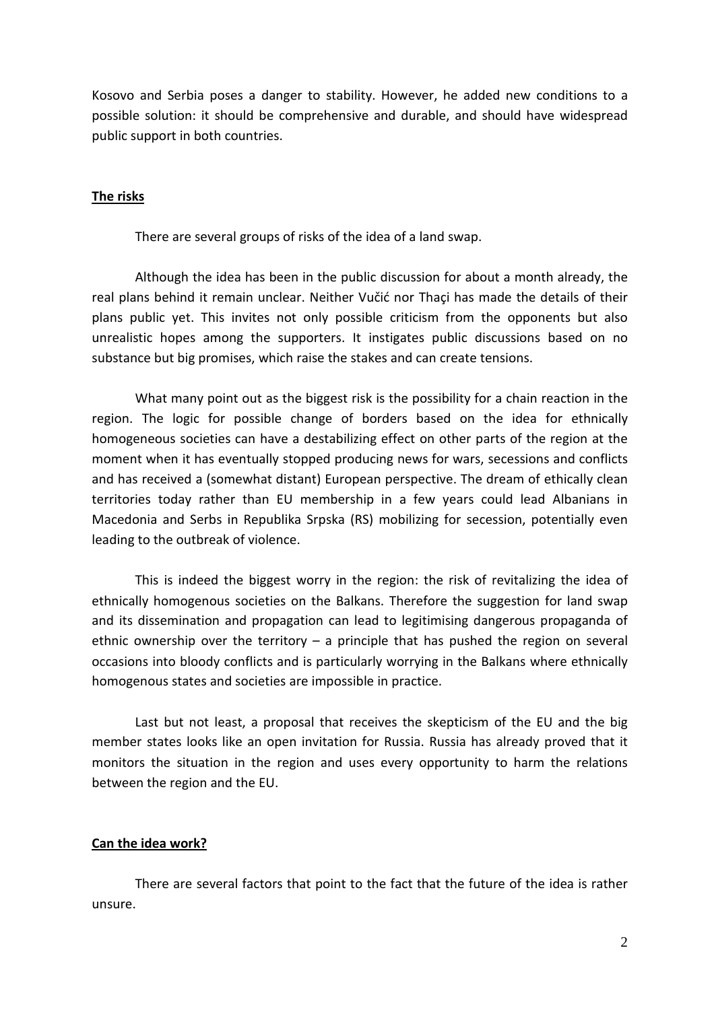Kosovo and Serbia poses a danger to stability. However, he added new conditions to a possible solution: it should be comprehensive and durable, and should have widespread public support in both countries.

# **The risks**

There are several groups of risks of the idea of a land swap.

Although the idea has been in the public discussion for about a month already, the real plans behind it remain unclear. Neither Vučić nor Thaçi has made the details of their plans public yet. This invites not only possible criticism from the opponents but also unrealistic hopes among the supporters. It instigates public discussions based on no substance but big promises, which raise the stakes and can create tensions.

What many point out as the biggest risk is the possibility for a chain reaction in the region. The logic for possible change of borders based on the idea for ethnically homogeneous societies can have a destabilizing effect on other parts of the region at the moment when it has eventually stopped producing news for wars, secessions and conflicts and has received a (somewhat distant) European perspective. The dream of ethically clean territories today rather than EU membership in a few years could lead Albanians in Macedonia and Serbs in Republika Srpska (RS) mobilizing for secession, potentially even leading to the outbreak of violence.

This is indeed the biggest worry in the region: the risk of revitalizing the idea of ethnically homogenous societies on the Balkans. Therefore the suggestion for land swap and its dissemination and propagation can lead to legitimising dangerous propaganda of ethnic ownership over the territory  $-$  a principle that has pushed the region on several occasions into bloody conflicts and is particularly worrying in the Balkans where ethnically homogenous states and societies are impossible in practice.

Last but not least, a proposal that receives the skepticism of the EU and the big member states looks like an open invitation for Russia. Russia has already proved that it monitors the situation in the region and uses every opportunity to harm the relations between the region and the EU.

## **Can the idea work?**

There are several factors that point to the fact that the future of the idea is rather unsure.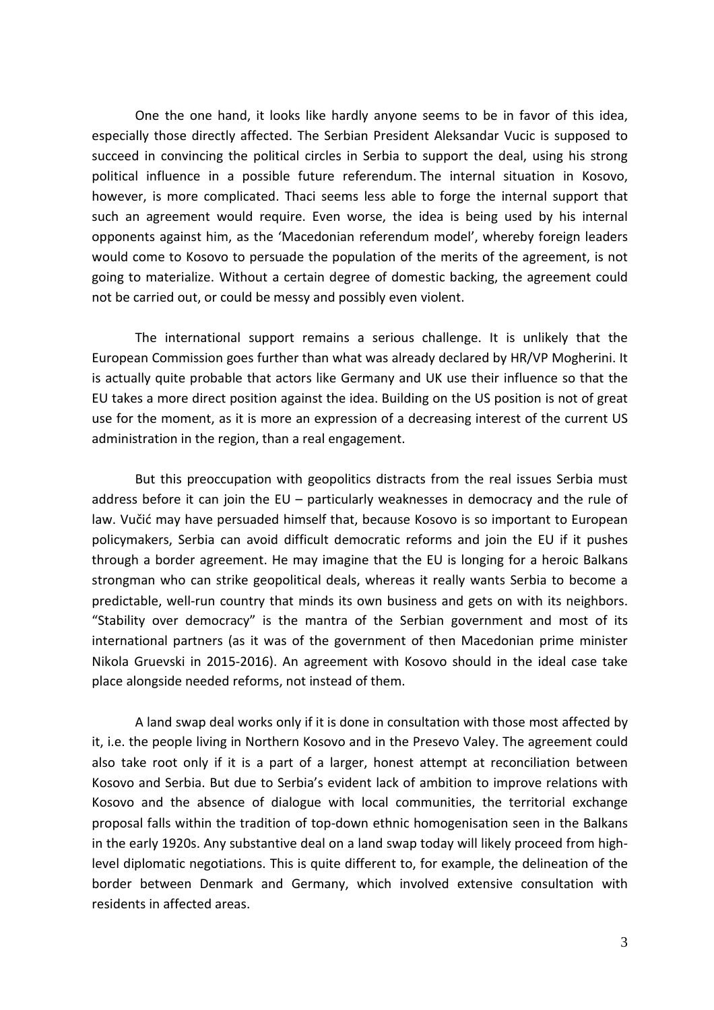One the one hand, it looks like hardly anyone seems to be in favor of this idea, especially those directly affected. The Serbian President Aleksandar Vucic is supposed to succeed in convincing the political circles in Serbia to support the deal, using his strong political influence in a possible future referendum. The internal situation in Kosovo, however, is more complicated. Thaci seems less able to forge the internal support that such an agreement would require. Even worse, the idea is being used by his internal opponents against him, as the 'Macedonian referendum model', whereby foreign leaders would come to Kosovo to persuade the population of the merits of the agreement, is not going to materialize. Without a certain degree of domestic backing, the agreement could not be carried out, or could be messy and possibly even violent.

The international support remains a serious challenge. It is unlikely that the European Commission goes further than what was already declared by HR/VP Mogherini. It is actually quite probable that actors like Germany and UK use their influence so that the EU takes a more direct position against the idea. Building on the US position is not of great use for the moment, as it is more an expression of a decreasing interest of the current US administration in the region, than a real engagement.

But this preoccupation with geopolitics distracts from the real issues Serbia must address before it can join the EU – particularly weaknesses in democracy and the rule of law. Vučić may have persuaded himself that, because Kosovo is so important to European policymakers, Serbia can avoid difficult democratic reforms and join the EU if it pushes through a border agreement. He may imagine that the EU is longing for a heroic Balkans strongman who can strike geopolitical deals, whereas it really wants Serbia to become a predictable, well-run country that minds its own business and gets on with its neighbors. "Stability over democracy" is the mantra of the Serbian government and most of its international partners (as it was of the government of then Macedonian prime minister Nikola Gruevski in 2015-2016). An agreement with Kosovo should in the ideal case take place alongside needed reforms, not instead of them.

A land swap deal works only if it is done in consultation with those most affected by it, i.e. the people living in Northern Kosovo and in the Presevo Valey. The agreement could also take root only if it is a part of a larger, honest attempt at reconciliation between Kosovo and Serbia. But due to Serbia's evident lack of ambition to improve relations with Kosovo and the absence of dialogue with local communities, the territorial exchange proposal falls within the tradition of top-down ethnic homogenisation seen in the Balkans in the early 1920s. Any substantive deal on a land swap today will likely proceed from highlevel diplomatic negotiations. This is quite different to, for example, the delineation of the border between Denmark and Germany, which involved extensive consultation with residents in affected areas.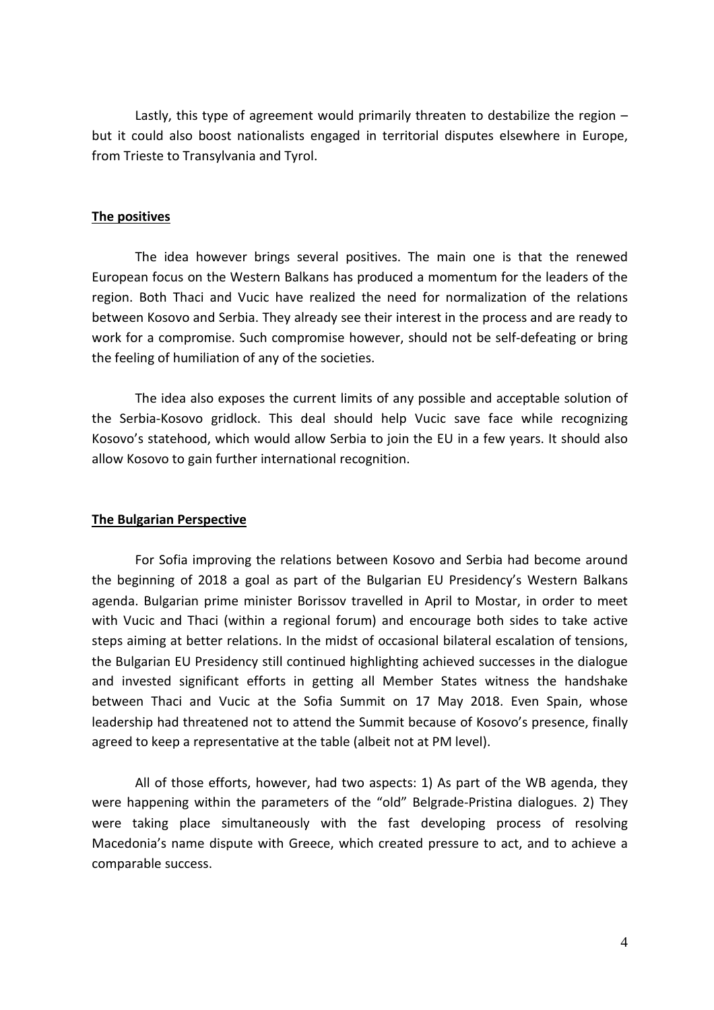Lastly, this type of agreement would primarily threaten to destabilize the region  $$ but it could also boost nationalists engaged in territorial disputes elsewhere in Europe, from Trieste to Transylvania and Tyrol.

## **The positives**

The idea however brings several positives. The main one is that the renewed European focus on the Western Balkans has produced a momentum for the leaders of the region. Both Thaci and Vucic have realized the need for normalization of the relations between Kosovo and Serbia. They already see their interest in the process and are ready to work for a compromise. Such compromise however, should not be self-defeating or bring the feeling of humiliation of any of the societies.

The idea also exposes the current limits of any possible and acceptable solution of the Serbia-Kosovo gridlock. This deal should help Vucic save face while recognizing Kosovo's statehood, which would allow Serbia to join the EU in a few years. It should also allow Kosovo to gain further international recognition.

## **The Bulgarian Perspective**

For Sofia improving the relations between Kosovo and Serbia had become around the beginning of 2018 a goal as part of the Bulgarian EU Presidency's Western Balkans agenda. Bulgarian prime minister Borissov travelled in April to Mostar, in order to meet with Vucic and Thaci (within a regional forum) and encourage both sides to take active steps aiming at better relations. In the midst of occasional bilateral escalation of tensions, the Bulgarian EU Presidency still continued highlighting achieved successes in the dialogue and invested significant efforts in getting all Member States witness the handshake between Thaci and Vucic at the Sofia Summit on 17 May 2018. Even Spain, whose leadership had threatened not to attend the Summit because of Kosovo's presence, finally agreed to keep a representative at the table (albeit not at PM level).

All of those efforts, however, had two aspects: 1) As part of the WB agenda, they were happening within the parameters of the "old" Belgrade-Pristina dialogues. 2) They were taking place simultaneously with the fast developing process of resolving Macedonia's name dispute with Greece, which created pressure to act, and to achieve a comparable success.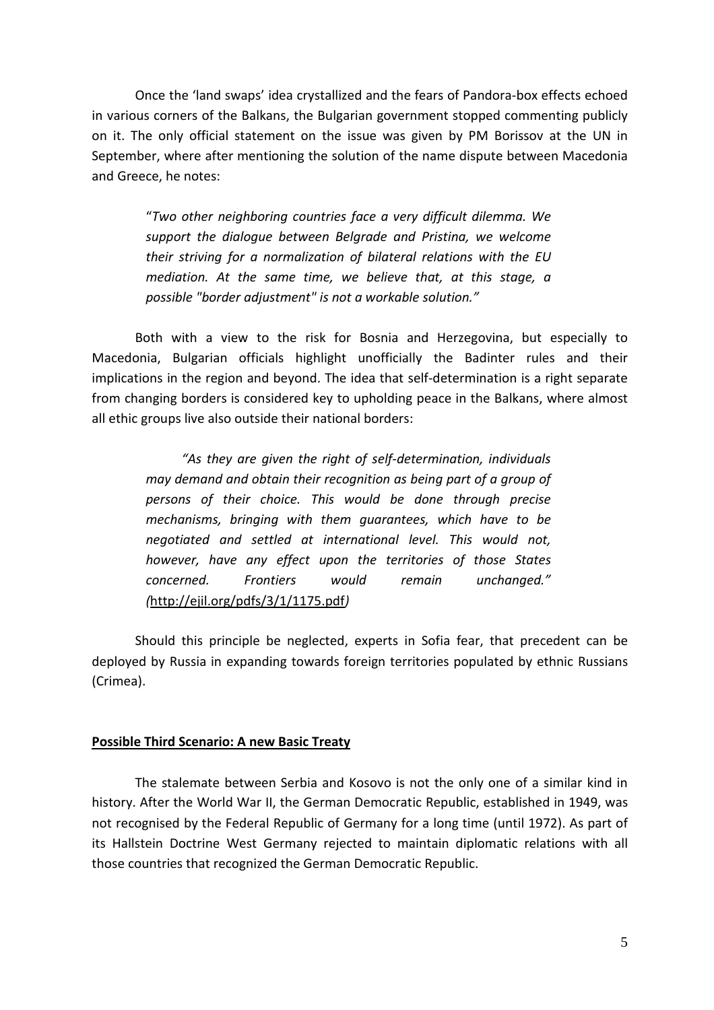Once the 'land swaps' idea crystallized and the fears of Pandora-box effects echoed in various corners of the Balkans, the Bulgarian government stopped commenting publicly on it. The only official statement on the issue was given by PM Borissov at the UN in September, where after mentioning the solution of the name dispute between Macedonia and Greece, he notes:

"*Two other neighboring countries face a very difficult dilemma. We support the dialogue between Belgrade and Pristina, we welcome their striving for a normalization of bilateral relations with the EU mediation. At the same time, we believe that, at this stage, a possible "border adjustment" is not a workable solution."*

Both with a view to the risk for Bosnia and Herzegovina, but especially to Macedonia, Bulgarian officials highlight unofficially the Badinter rules and their implications in the region and beyond. The idea that self-determination is a right separate from changing borders is considered key to upholding peace in the Balkans, where almost all ethic groups live also outside their national borders:

*"As they are given the right of self-determination, individuals may demand and obtain their recognition as being part of a group of persons of their choice. This would be done through precise mechanisms, bringing with them guarantees, which have to be negotiated and settled at international level. This would not, however, have any effect upon the territories of those States concerned. Frontiers would remain unchanged." (*<http://ejil.org/pdfs/3/1/1175.pdf>*)*

Should this principle be neglected, experts in Sofia fear, that precedent can be deployed by Russia in expanding towards foreign territories populated by ethnic Russians (Crimea).

## **Possible Third Scenario: A new Basic Treaty**

The stalemate between Serbia and Kosovo is not the only one of a similar kind in history. After the World War II, the German Democratic Republic, established in 1949, was not recognised by the Federal Republic of Germany for a long time (until 1972). As part of its Hallstein Doctrine West Germany rejected to maintain diplomatic relations with all those countries that recognized the German Democratic Republic.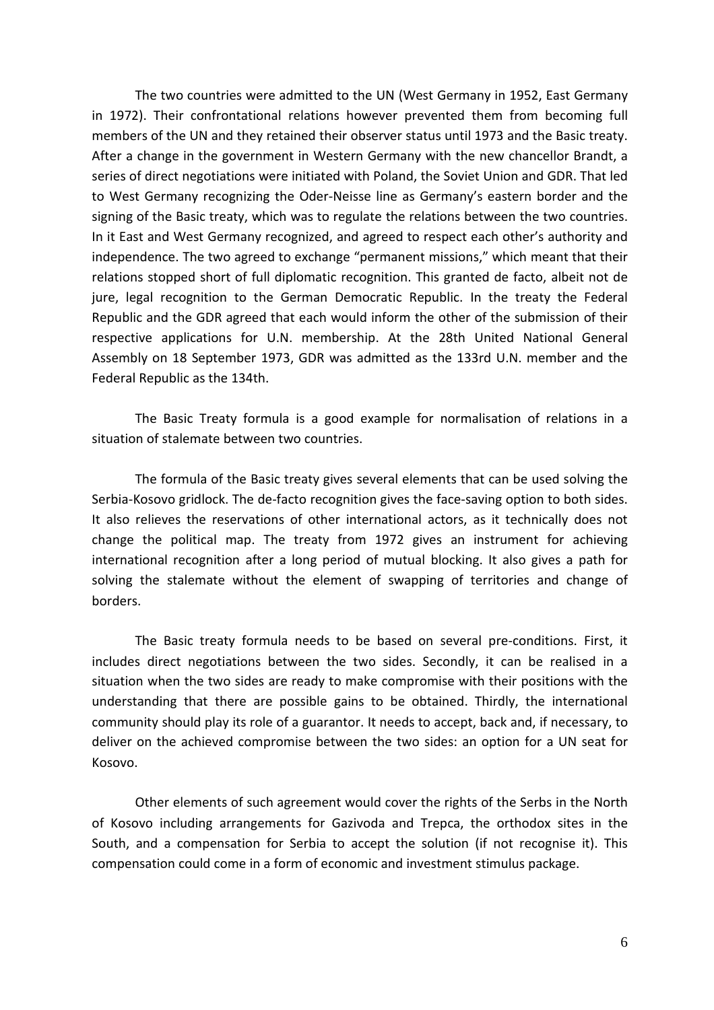The two countries were admitted to the UN (West Germany in 1952, East Germany in 1972). Their confrontational relations however prevented them from becoming full members of the UN and they retained their observer status until 1973 and the Basic treaty. After a change in the government in Western Germany with the new chancellor Brandt, a series of direct negotiations were initiated with Poland, the Soviet Union and GDR. That led to West Germany recognizing the Oder-Neisse line as Germany's eastern border and the signing of the Basic treaty, which was to regulate the relations between the two countries. In it East and West Germany recognized, and agreed to respect each other's authority and independence. The two agreed to exchange "permanent missions," which meant that their relations stopped short of full diplomatic recognition. This granted de facto, albeit not de jure, legal recognition to the German Democratic Republic. In the treaty the Federal Republic and the GDR agreed that each would inform the other of the submission of their respective applications for U.N. membership. At the 28th United National General Assembly on 18 September 1973, GDR was admitted as the 133rd U.N. member and the Federal Republic as the 134th.

The Basic Treaty formula is a good example for normalisation of relations in a situation of stalemate between two countries.

The formula of the Basic treaty gives several elements that can be used solving the Serbia-Kosovo gridlock. The de-facto recognition gives the face-saving option to both sides. It also relieves the reservations of other international actors, as it technically does not change the political map. The treaty from 1972 gives an instrument for achieving international recognition after a long period of mutual blocking. It also gives a path for solving the stalemate without the element of swapping of territories and change of borders.

The Basic treaty formula needs to be based on several pre-conditions. First, it includes direct negotiations between the two sides. Secondly, it can be realised in a situation when the two sides are ready to make compromise with their positions with the understanding that there are possible gains to be obtained. Thirdly, the international community should play its role of a guarantor. It needs to accept, back and, if necessary, to deliver on the achieved compromise between the two sides: an option for a UN seat for Kosovo.

Other elements of such agreement would cover the rights of the Serbs in the North of Kosovo including arrangements for Gazivoda and Trepca, the orthodox sites in the South, and a compensation for Serbia to accept the solution (if not recognise it). This compensation could come in a form of economic and investment stimulus package.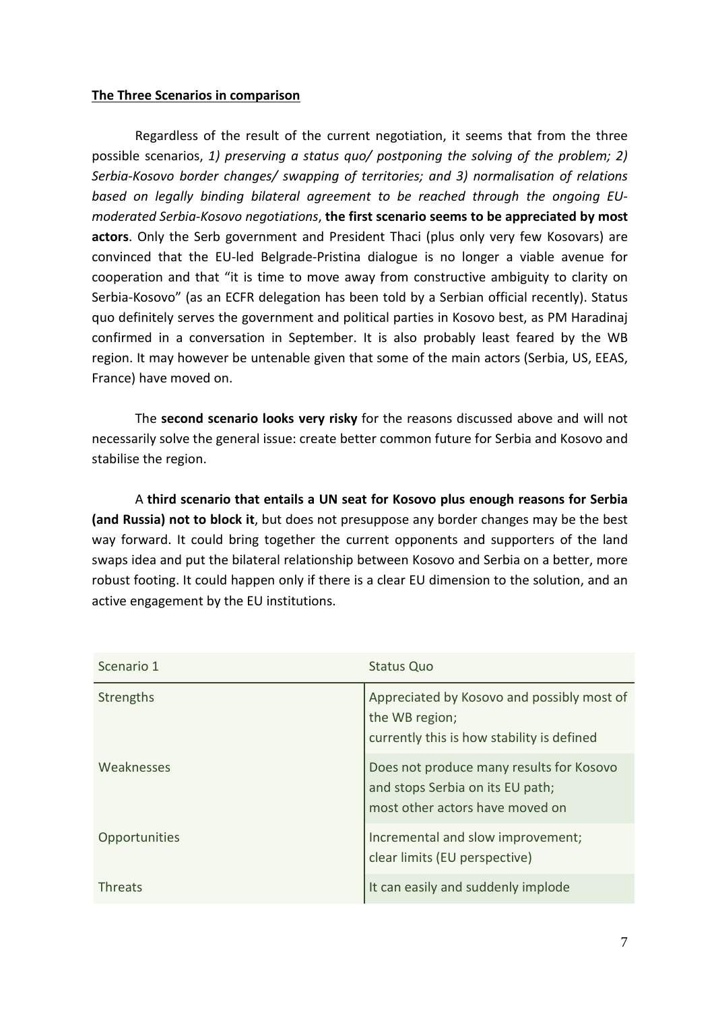# **The Three Scenarios in comparison**

Regardless of the result of the current negotiation, it seems that from the three possible scenarios, *1) preserving a status quo/ postponing the solving of the problem; 2) Serbia-Kosovo border changes/ swapping of territories; and 3) normalisation of relations based on legally binding bilateral agreement to be reached through the ongoing EUmoderated Serbia-Kosovo negotiations*, **the first scenario seems to be appreciated by most actors**. Only the Serb government and President Thaci (plus only very few Kosovars) are convinced that the EU-led Belgrade-Pristina dialogue is no longer a viable avenue for cooperation and that "it is time to move away from constructive ambiguity to clarity on Serbia-Kosovo" (as an ECFR delegation has been told by a Serbian official recently). Status quo definitely serves the government and political parties in Kosovo best, as PM Haradinaj confirmed in a conversation in September. It is also probably least feared by the WB region. It may however be untenable given that some of the main actors (Serbia, US, EEAS, France) have moved on.

The **second scenario looks very risky** for the reasons discussed above and will not necessarily solve the general issue: create better common future for Serbia and Kosovo and stabilise the region.

A **third scenario that entails a UN seat for Kosovo plus enough reasons for Serbia (and Russia) not to block it**, but does not presuppose any border changes may be the best way forward. It could bring together the current opponents and supporters of the land swaps idea and put the bilateral relationship between Kosovo and Serbia on a better, more robust footing. It could happen only if there is a clear EU dimension to the solution, and an active engagement by the EU institutions.

| Scenario 1     | <b>Status Quo</b>                                                                                               |
|----------------|-----------------------------------------------------------------------------------------------------------------|
| Strengths      | Appreciated by Kosovo and possibly most of<br>the WB region;<br>currently this is how stability is defined      |
| Weaknesses     | Does not produce many results for Kosovo<br>and stops Serbia on its EU path;<br>most other actors have moved on |
| Opportunities  | Incremental and slow improvement;<br>clear limits (EU perspective)                                              |
| <b>Threats</b> | It can easily and suddenly implode                                                                              |